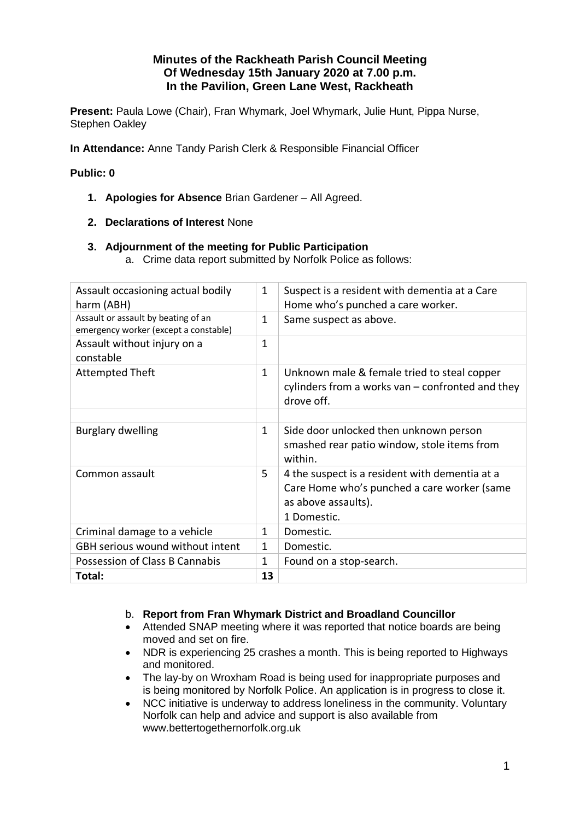# **Minutes of the Rackheath Parish Council Meeting Of Wednesday 15th January 2020 at 7.00 p.m. In the Pavilion, Green Lane West, Rackheath**

**Present:** Paula Lowe (Chair), Fran Whymark, Joel Whymark, Julie Hunt, Pippa Nurse, Stephen Oakley

**In Attendance:** Anne Tandy Parish Clerk & Responsible Financial Officer

## **Public: 0**

- **1. Apologies for Absence** Brian Gardener All Agreed.
- **2. Declarations of Interest** None

## **3. Adjournment of the meeting for Public Participation**

a. Crime data report submitted by Norfolk Police as follows:

| Assault occasioning actual bodily<br>harm (ABH)                              | $\mathbf{1}$ | Suspect is a resident with dementia at a Care<br>Home who's punched a care worker.                                                  |
|------------------------------------------------------------------------------|--------------|-------------------------------------------------------------------------------------------------------------------------------------|
| Assault or assault by beating of an<br>emergency worker (except a constable) | $\mathbf{1}$ | Same suspect as above.                                                                                                              |
| Assault without injury on a<br>constable                                     | 1            |                                                                                                                                     |
| <b>Attempted Theft</b>                                                       | $\mathbf{1}$ | Unknown male & female tried to steal copper<br>cylinders from a works van – confronted and they<br>drove off.                       |
| <b>Burglary dwelling</b>                                                     | $\mathbf{1}$ | Side door unlocked then unknown person<br>smashed rear patio window, stole items from<br>within.                                    |
| Common assault                                                               | 5            | 4 the suspect is a resident with dementia at a<br>Care Home who's punched a care worker (same<br>as above assaults).<br>1 Domestic. |
| Criminal damage to a vehicle                                                 | 1            | Domestic.                                                                                                                           |
| GBH serious wound without intent                                             | $\mathbf{1}$ | Domestic.                                                                                                                           |
| Possession of Class B Cannabis                                               | 1            | Found on a stop-search.                                                                                                             |
| Total:                                                                       | 13           |                                                                                                                                     |

## b. **Report from Fran Whymark District and Broadland Councillor**

- Attended SNAP meeting where it was reported that notice boards are being moved and set on fire.
- NDR is experiencing 25 crashes a month. This is being reported to Highways and monitored.
- The lay-by on Wroxham Road is being used for inappropriate purposes and is being monitored by Norfolk Police. An application is in progress to close it.
- NCC initiative is underway to address loneliness in the community. Voluntary Norfolk can help and advice and support is also available from www.bettertogethernorfolk.org.uk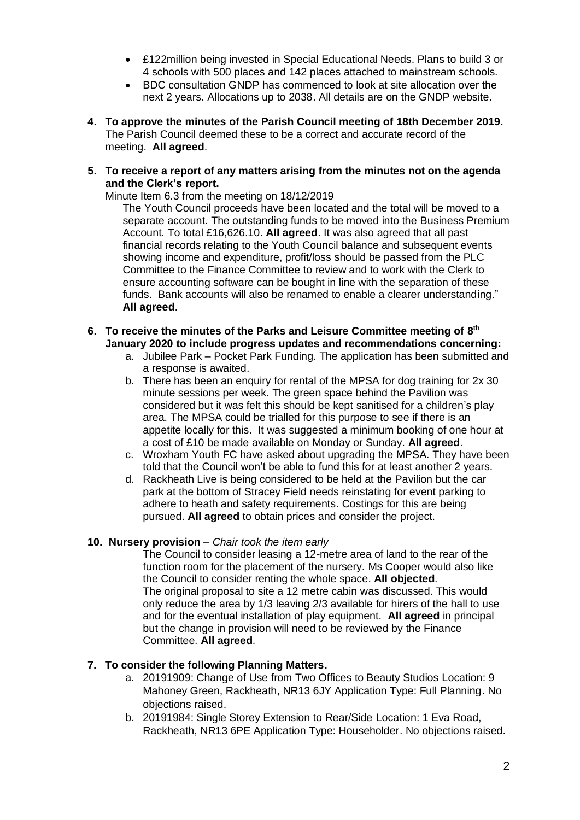- £122million being invested in Special Educational Needs. Plans to build 3 or 4 schools with 500 places and 142 places attached to mainstream schools.
- BDC consultation GNDP has commenced to look at site allocation over the next 2 years. Allocations up to 2038. All details are on the GNDP website.
- **4. To approve the minutes of the Parish Council meeting of 18th December 2019.**  The Parish Council deemed these to be a correct and accurate record of the meeting. **All agreed**.
- **5. To receive a report of any matters arising from the minutes not on the agenda and the Clerk's report.**

Minute Item 6.3 from the meeting on 18/12/2019

The Youth Council proceeds have been located and the total will be moved to a separate account. The outstanding funds to be moved into the Business Premium Account. To total £16,626.10. **All agreed**. It was also agreed that all past financial records relating to the Youth Council balance and subsequent events showing income and expenditure, profit/loss should be passed from the PLC Committee to the Finance Committee to review and to work with the Clerk to ensure accounting software can be bought in line with the separation of these funds. Bank accounts will also be renamed to enable a clearer understanding." **All agreed**.

- **6. To receive the minutes of the Parks and Leisure Committee meeting of 8 th January 2020 to include progress updates and recommendations concerning:**
	- a. Jubilee Park Pocket Park Funding. The application has been submitted and a response is awaited.
	- b. There has been an enquiry for rental of the MPSA for dog training for 2x 30 minute sessions per week. The green space behind the Pavilion was considered but it was felt this should be kept sanitised for a children's play area. The MPSA could be trialled for this purpose to see if there is an appetite locally for this. It was suggested a minimum booking of one hour at a cost of £10 be made available on Monday or Sunday. **All agreed**.
	- c. Wroxham Youth FC have asked about upgrading the MPSA. They have been told that the Council won't be able to fund this for at least another 2 years.
	- d. Rackheath Live is being considered to be held at the Pavilion but the car park at the bottom of Stracey Field needs reinstating for event parking to adhere to heath and safety requirements. Costings for this are being pursued. **All agreed** to obtain prices and consider the project.

## **10. Nursery provision** – *Chair took the item early*

The Council to consider leasing a 12-metre area of land to the rear of the function room for the placement of the nursery. Ms Cooper would also like the Council to consider renting the whole space. **All objected**. The original proposal to site a 12 metre cabin was discussed. This would only reduce the area by 1/3 leaving 2/3 available for hirers of the hall to use and for the eventual installation of play equipment. **All agreed** in principal but the change in provision will need to be reviewed by the Finance Committee. **All agreed**.

## **7. To consider the following Planning Matters.**

- a. 20191909: Change of Use from Two Offices to Beauty Studios Location: 9 Mahoney Green, Rackheath, NR13 6JY Application Type: Full Planning. No objections raised.
- b. 20191984: Single Storey Extension to Rear/Side Location: 1 Eva Road, Rackheath, NR13 6PE Application Type: Householder. No objections raised.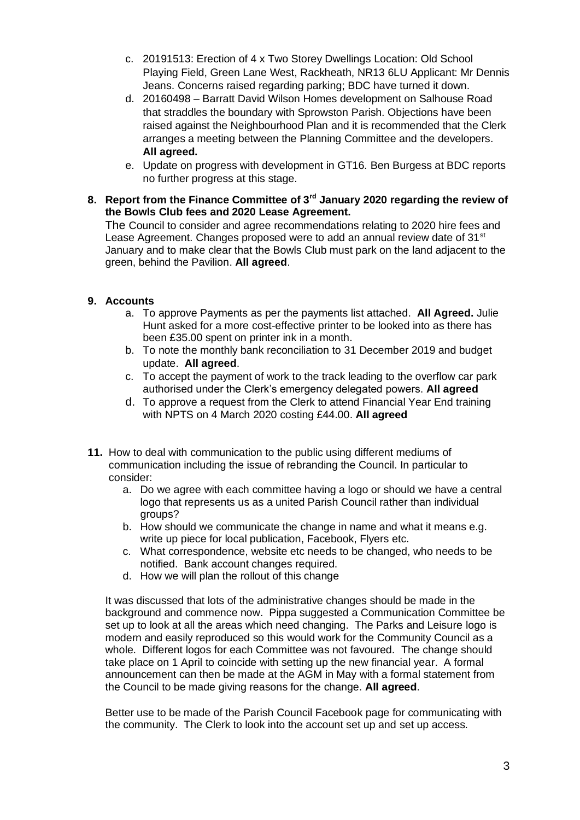- c. 20191513: Erection of 4 x Two Storey Dwellings Location: Old School Playing Field, Green Lane West, Rackheath, NR13 6LU Applicant: Mr Dennis Jeans. Concerns raised regarding parking; BDC have turned it down.
- d. 20160498 Barratt David Wilson Homes development on Salhouse Road that straddles the boundary with Sprowston Parish. Objections have been raised against the Neighbourhood Plan and it is recommended that the Clerk arranges a meeting between the Planning Committee and the developers. **All agreed.**
- e. Update on progress with development in GT16. Ben Burgess at BDC reports no further progress at this stage.
- **8. Report from the Finance Committee of 3rd January 2020 regarding the review of the Bowls Club fees and 2020 Lease Agreement.**

The Council to consider and agree recommendations relating to 2020 hire fees and Lease Agreement. Changes proposed were to add an annual review date of  $31<sup>st</sup>$ January and to make clear that the Bowls Club must park on the land adjacent to the green, behind the Pavilion. **All agreed**.

# **9. Accounts**

- a. To approve Payments as per the payments list attached. **All Agreed.** Julie Hunt asked for a more cost-effective printer to be looked into as there has been £35.00 spent on printer ink in a month.
- b. To note the monthly bank reconciliation to 31 December 2019 and budget update. **All agreed**.
- c. To accept the payment of work to the track leading to the overflow car park authorised under the Clerk's emergency delegated powers. **All agreed**
- d. To approve a request from the Clerk to attend Financial Year End training with NPTS on 4 March 2020 costing £44.00. **All agreed**
- **11.** How to deal with communication to the public using different mediums of communication including the issue of rebranding the Council. In particular to consider:
	- a. Do we agree with each committee having a logo or should we have a central logo that represents us as a united Parish Council rather than individual groups?
	- b. How should we communicate the change in name and what it means e.g. write up piece for local publication, Facebook, Flyers etc.
	- c. What correspondence, website etc needs to be changed, who needs to be notified. Bank account changes required.
	- d. How we will plan the rollout of this change

It was discussed that lots of the administrative changes should be made in the background and commence now. Pippa suggested a Communication Committee be set up to look at all the areas which need changing. The Parks and Leisure logo is modern and easily reproduced so this would work for the Community Council as a whole. Different logos for each Committee was not favoured. The change should take place on 1 April to coincide with setting up the new financial year. A formal announcement can then be made at the AGM in May with a formal statement from the Council to be made giving reasons for the change. **All agreed**.

Better use to be made of the Parish Council Facebook page for communicating with the community. The Clerk to look into the account set up and set up access.